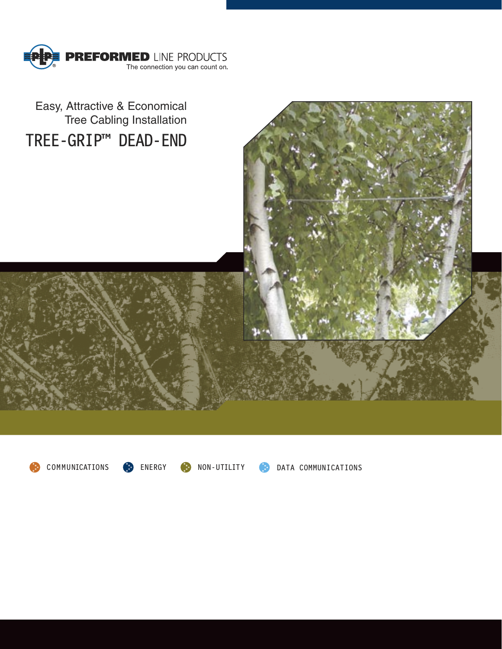



COMMUNICATIONS **C** ENERGY **C** NON-UTILITY **C** DATA COMMUNICATIONS